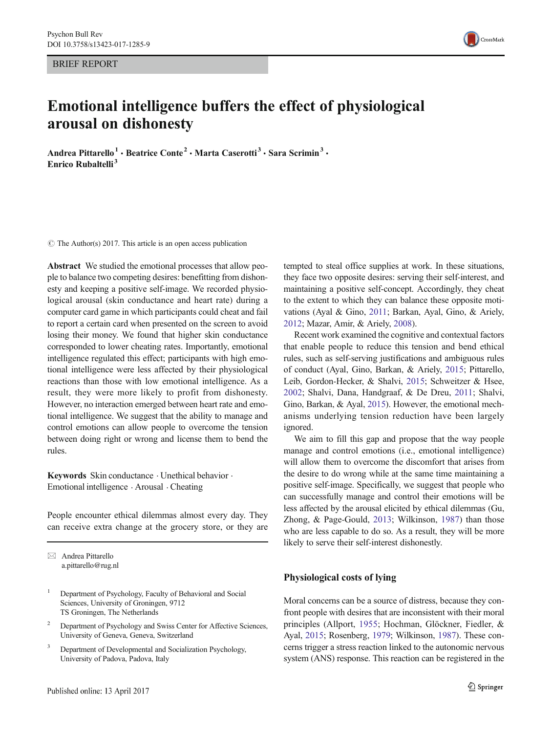BRIEF REPORT



# Emotional intelligence buffers the effect of physiological arousal on dishonesty

Andrea Pittarello<sup>1</sup> • Beatrice Conte<sup>2</sup> • Marta Caserotti<sup>3</sup> • Sara Scrimin<sup>3</sup> • Enrico Rubaltelli<sup>3</sup>

 $\circ$  The Author(s) 2017. This article is an open access publication

Abstract We studied the emotional processes that allow people to balance two competing desires: benefitting from dishonesty and keeping a positive self-image. We recorded physiological arousal (skin conductance and heart rate) during a computer card game in which participants could cheat and fail to report a certain card when presented on the screen to avoid losing their money. We found that higher skin conductance corresponded to lower cheating rates. Importantly, emotional intelligence regulated this effect; participants with high emotional intelligence were less affected by their physiological reactions than those with low emotional intelligence. As a result, they were more likely to profit from dishonesty. However, no interaction emerged between heart rate and emotional intelligence. We suggest that the ability to manage and control emotions can allow people to overcome the tension between doing right or wrong and license them to bend the rules.

Keywords Skin conductance . Unethical behavior . Emotional intelligence . Arousal . Cheating

People encounter ethical dilemmas almost every day. They can receive extra change at the grocery store, or they are

 $\boxtimes$  Andrea Pittarello a.pittarello@rug.nl

- <sup>1</sup> Department of Psychology, Faculty of Behavioral and Social Sciences, University of Groningen, 9712 TS Groningen, The Netherlands
- <sup>2</sup> Department of Psychology and Swiss Center for Affective Sciences, University of Geneva, Geneva, Switzerland
- <sup>3</sup> Department of Developmental and Socialization Psychology, University of Padova, Padova, Italy

tempted to steal office supplies at work. In these situations, they face two opposite desires: serving their self-interest, and maintaining a positive self-concept. Accordingly, they cheat to the extent to which they can balance these opposite motivations (Ayal & Gino, [2011;](#page-5-0) Barkan, Ayal, Gino, & Ariely, [2012;](#page-5-0) Mazar, Amir, & Ariely, [2008](#page-6-0)).

Recent work examined the cognitive and contextual factors that enable people to reduce this tension and bend ethical rules, such as self-serving justifications and ambiguous rules of conduct (Ayal, Gino, Barkan, & Ariely, [2015](#page-5-0); Pittarello, Leib, Gordon-Hecker, & Shalvi, [2015](#page-6-0); Schweitzer & Hsee, [2002](#page-6-0); Shalvi, Dana, Handgraaf, & De Dreu, [2011](#page-6-0); Shalvi, Gino, Barkan, & Ayal, [2015](#page-6-0)). However, the emotional mechanisms underlying tension reduction have been largely ignored.

We aim to fill this gap and propose that the way people manage and control emotions (i.e., emotional intelligence) will allow them to overcome the discomfort that arises from the desire to do wrong while at the same time maintaining a positive self-image. Specifically, we suggest that people who can successfully manage and control their emotions will be less affected by the arousal elicited by ethical dilemmas (Gu, Zhong, & Page-Gould, [2013;](#page-5-0) Wilkinson, [1987\)](#page-6-0) than those who are less capable to do so. As a result, they will be more likely to serve their self-interest dishonestly.

## Physiological costs of lying

Moral concerns can be a source of distress, because they confront people with desires that are inconsistent with their moral principles (Allport, [1955;](#page-5-0) Hochman, Glöckner, Fiedler, & Ayal, [2015](#page-5-0); Rosenberg, [1979](#page-6-0); Wilkinson, [1987](#page-6-0)). These concerns trigger a stress reaction linked to the autonomic nervous system (ANS) response. This reaction can be registered in the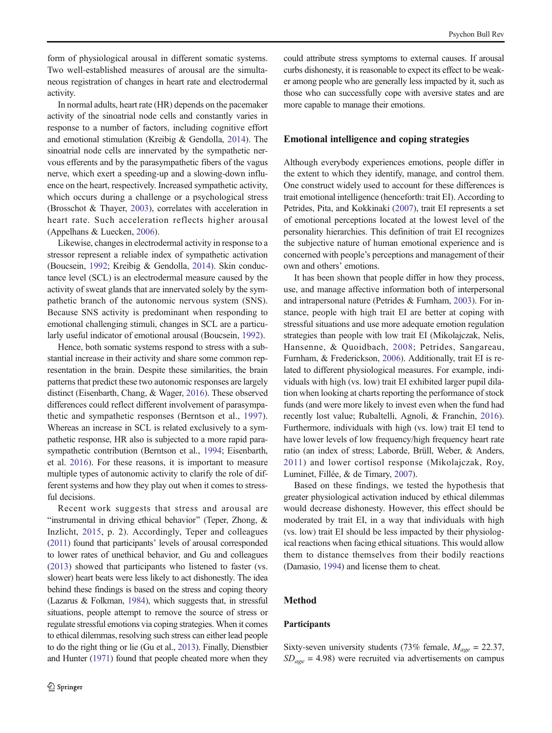form of physiological arousal in different somatic systems. Two well-established measures of arousal are the simultaneous registration of changes in heart rate and electrodermal activity.

In normal adults, heart rate (HR) depends on the pacemaker activity of the sinoatrial node cells and constantly varies in response to a number of factors, including cognitive effort and emotional stimulation (Kreibig & Gendolla, [2014](#page-6-0)). The sinoatrial node cells are innervated by the sympathetic nervous efferents and by the parasympathetic fibers of the vagus nerve, which exert a speeding-up and a slowing-down influence on the heart, respectively. Increased sympathetic activity, which occurs during a challenge or a psychological stress (Brosschot & Thayer, [2003\)](#page-5-0), correlates with acceleration in heart rate. Such acceleration reflects higher arousal (Appelhans & Luecken, [2006\)](#page-5-0).

Likewise, changes in electrodermal activity in response to a stressor represent a reliable index of sympathetic activation (Boucsein, [1992;](#page-5-0) Kreibig & Gendolla, [2014](#page-6-0)). Skin conductance level (SCL) is an electrodermal measure caused by the activity of sweat glands that are innervated solely by the sympathetic branch of the autonomic nervous system (SNS). Because SNS activity is predominant when responding to emotional challenging stimuli, changes in SCL are a particularly useful indicator of emotional arousal (Boucsein, [1992\)](#page-5-0).

Hence, both somatic systems respond to stress with a substantial increase in their activity and share some common representation in the brain. Despite these similarities, the brain patterns that predict these two autonomic responses are largely distinct (Eisenbarth, Chang, & Wager, [2016\)](#page-5-0). These observed differences could reflect different involvement of parasympathetic and sympathetic responses (Berntson et al., [1997](#page-5-0)). Whereas an increase in SCL is related exclusively to a sympathetic response, HR also is subjected to a more rapid parasympathetic contribution (Berntson et al., [1994](#page-5-0); Eisenbarth, et al. [2016](#page-5-0)). For these reasons, it is important to measure multiple types of autonomic activity to clarify the role of different systems and how they play out when it comes to stressful decisions.

Recent work suggests that stress and arousal are "instrumental in driving ethical behavior" (Teper, Zhong, & Inzlicht, [2015](#page-6-0), p. 2). Accordingly, Teper and colleagues [\(2011\)](#page-6-0) found that participants' levels of arousal corresponded to lower rates of unethical behavior, and Gu and colleagues [\(2013](#page-5-0)) showed that participants who listened to faster (vs. slower) heart beats were less likely to act dishonestly. The idea behind these findings is based on the stress and coping theory (Lazarus & Folkman, [1984\)](#page-6-0), which suggests that, in stressful situations, people attempt to remove the source of stress or regulate stressful emotions via coping strategies. When it comes to ethical dilemmas, resolving such stress can either lead people to do the right thing or lie (Gu et al., [2013](#page-5-0)). Finally, Dienstbier and Hunter [\(1971](#page-5-0)) found that people cheated more when they could attribute stress symptoms to external causes. If arousal curbs dishonesty, it is reasonable to expect its effect to be weaker among people who are generally less impacted by it, such as those who can successfully cope with aversive states and are more capable to manage their emotions.

## Emotional intelligence and coping strategies

Although everybody experiences emotions, people differ in the extent to which they identify, manage, and control them. One construct widely used to account for these differences is trait emotional intelligence (henceforth: trait EI). According to Petrides, Pita, and Kokkinaki ([2007](#page-6-0)), trait EI represents a set of emotional perceptions located at the lowest level of the personality hierarchies. This definition of trait EI recognizes the subjective nature of human emotional experience and is concerned with people's perceptions and management of their own and others' emotions.

It has been shown that people differ in how they process, use, and manage affective information both of interpersonal and intrapersonal nature (Petrides & Furnham, [2003](#page-6-0)). For instance, people with high trait EI are better at coping with stressful situations and use more adequate emotion regulation strategies than people with low trait EI (Mikolajczak, Nelis, Hansenne, & Quoidbach, [2008;](#page-6-0) Petrides, Sangareau, Furnham, & Frederickson, [2006](#page-6-0)). Additionally, trait EI is related to different physiological measures. For example, individuals with high (vs. low) trait EI exhibited larger pupil dilation when looking at charts reporting the performance of stock funds (and were more likely to invest even when the fund had recently lost value; Rubaltelli, Agnoli, & Franchin, [2016\)](#page-6-0). Furthermore, individuals with high (vs. low) trait EI tend to have lower levels of low frequency/high frequency heart rate ratio (an index of stress; Laborde, Brüll, Weber, & Anders, [2011](#page-6-0)) and lower cortisol response (Mikolajczak, Roy, Luminet, Fillée, & de Timary, [2007](#page-6-0)).

Based on these findings, we tested the hypothesis that greater physiological activation induced by ethical dilemmas would decrease dishonesty. However, this effect should be moderated by trait EI, in a way that individuals with high (vs. low) trait EI should be less impacted by their physiological reactions when facing ethical situations. This would allow them to distance themselves from their bodily reactions (Damasio, [1994](#page-5-0)) and license them to cheat.

## Method

### Participants

Sixty-seven university students (73% female,  $M_{age} = 22.37$ ,  $SD_{age} = 4.98$ ) were recruited via advertisements on campus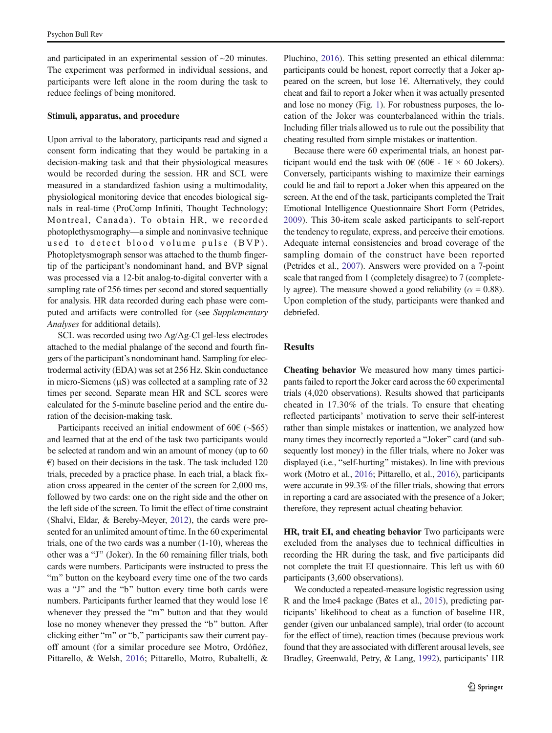and participated in an experimental session of  $\sim$ 20 minutes. The experiment was performed in individual sessions, and participants were left alone in the room during the task to reduce feelings of being monitored.

#### Stimuli, apparatus, and procedure

Upon arrival to the laboratory, participants read and signed a consent form indicating that they would be partaking in a decision-making task and that their physiological measures would be recorded during the session. HR and SCL were measured in a standardized fashion using a multimodality, physiological monitoring device that encodes biological signals in real-time (ProComp Infiniti, Thought Technology; Montreal, Canada). To obtain HR, we recorded photoplethysmography—a simple and noninvasive technique used to detect blood volume pulse (BVP). Photopletysmograph sensor was attached to the thumb fingertip of the participant's nondominant hand, and BVP signal was processed via a 12-bit analog-to-digital converter with a sampling rate of 256 times per second and stored sequentially for analysis. HR data recorded during each phase were computed and artifacts were controlled for (see Supplementary Analyses for additional details).

SCL was recorded using two Ag/Ag-Cl gel-less electrodes attached to the medial phalange of the second and fourth fingers of the participant's nondominant hand. Sampling for electrodermal activity (EDA) was set at 256 Hz. Skin conductance in micro-Siemens (μS) was collected at a sampling rate of 32 times per second. Separate mean HR and SCL scores were calculated for the 5-minute baseline period and the entire duration of the decision-making task.

Participants received an initial endowment of  $60 \in (-\$65)$ and learned that at the end of the task two participants would be selected at random and win an amount of money (up to 60  $\epsilon$ ) based on their decisions in the task. The task included 120 trials, preceded by a practice phase. In each trial, a black fixation cross appeared in the center of the screen for 2,000 ms, followed by two cards: one on the right side and the other on the left side of the screen. To limit the effect of time constraint (Shalvi, Eldar, & Bereby-Meyer, [2012\)](#page-6-0), the cards were presented for an unlimited amount of time. In the 60 experimental trials, one of the two cards was a number (1-10), whereas the other was a "J" (Joker). In the 60 remaining filler trials, both cards were numbers. Participants were instructed to press the "m" button on the keyboard every time one of the two cards was a "J" and the "b" button every time both cards were numbers. Participants further learned that they would lose  $1 \in$ whenever they pressed the "m" button and that they would lose no money whenever they pressed the "b" button. After clicking either "m" or "b," participants saw their current payoff amount (for a similar procedure see Motro, Ordóñez, Pittarello, & Welsh, [2016;](#page-6-0) Pittarello, Motro, Rubaltelli, &

Pluchino, [2016](#page-6-0)). This setting presented an ethical dilemma: participants could be honest, report correctly that a Joker appeared on the screen, but lose  $1 \in$ . Alternatively, they could cheat and fail to report a Joker when it was actually presented and lose no money (Fig. [1](#page-3-0)). For robustness purposes, the location of the Joker was counterbalanced within the trials. Including filler trials allowed us to rule out the possibility that cheating resulted from simple mistakes or inattention.

Because there were 60 experimental trials, an honest participant would end the task with 0€ (60€ - 1€  $\times$  60 Jokers). Conversely, participants wishing to maximize their earnings could lie and fail to report a Joker when this appeared on the screen. At the end of the task, participants completed the Trait Emotional Intelligence Questionnaire Short Form (Petrides, [2009](#page-6-0)). This 30-item scale asked participants to self-report the tendency to regulate, express, and perceive their emotions. Adequate internal consistencies and broad coverage of the sampling domain of the construct have been reported (Petrides et al., [2007\)](#page-6-0). Answers were provided on a 7-point scale that ranged from 1 (completely disagree) to 7 (completely agree). The measure showed a good reliability ( $\alpha = 0.88$ ). Upon completion of the study, participants were thanked and debriefed.

## Results

Cheating behavior We measured how many times participants failed to report the Joker card across the 60 experimental trials (4,020 observations). Results showed that participants cheated in 17.30% of the trials. To ensure that cheating reflected participants' motivation to serve their self-interest rather than simple mistakes or inattention, we analyzed how many times they incorrectly reported a "Joker" card (and subsequently lost money) in the filler trials, where no Joker was displayed (i.e., "self-hurting" mistakes). In line with previous work (Motro et al., [2016](#page-6-0); Pittarello, et al., [2016](#page-6-0)), participants were accurate in 99.3% of the filler trials, showing that errors in reporting a card are associated with the presence of a Joker; therefore, they represent actual cheating behavior.

HR, trait EI, and cheating behavior Two participants were excluded from the analyses due to technical difficulties in recording the HR during the task, and five participants did not complete the trait EI questionnaire. This left us with 60 participants (3,600 observations).

We conducted a repeated-measure logistic regression using R and the lme4 package (Bates et al., [2015\)](#page-5-0), predicting participants' likelihood to cheat as a function of baseline HR, gender (given our unbalanced sample), trial order (to account for the effect of time), reaction times (because previous work found that they are associated with different arousal levels, see Bradley, Greenwald, Petry, & Lang, [1992\)](#page-5-0), participants' HR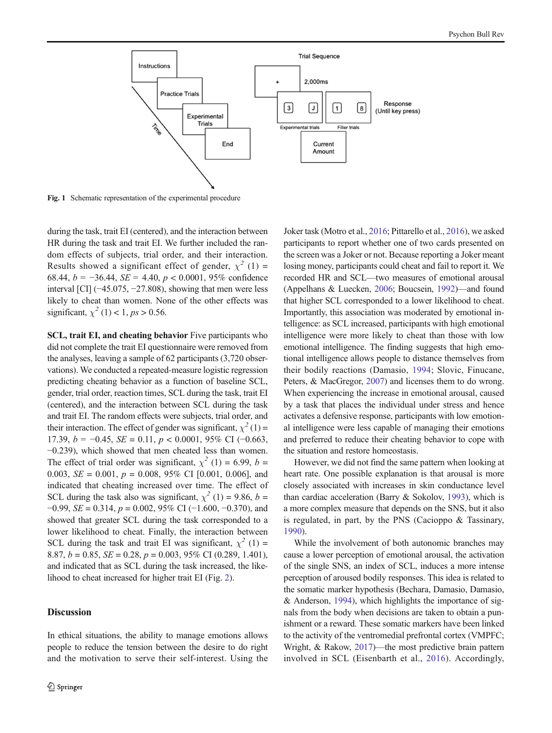<span id="page-3-0"></span>

Fig. 1 Schematic representation of the experimental procedure

during the task, trait EI (centered), and the interaction between HR during the task and trait EI. We further included the random effects of subjects, trial order, and their interaction. Results showed a significant effect of gender,  $\chi^2$  (1) = 68.44,  $b = -36.44$ ,  $SE = 4.40$ ,  $p < 0.0001$ , 95% confidence interval [CI] (−45.075, −27.808), showing that men were less likely to cheat than women. None of the other effects was significant,  $\chi^2$  (1) < 1, ps > 0.56.

SCL, trait EI, and cheating behavior Five participants who did not complete the trait EI questionnaire were removed from the analyses, leaving a sample of 62 participants (3,720 observations). We conducted a repeated-measure logistic regression predicting cheating behavior as a function of baseline SCL, gender, trial order, reaction times, SCL during the task, trait EI (centered), and the interaction between SCL during the task and trait EI. The random effects were subjects, trial order, and their interaction. The effect of gender was significant,  $\chi^2$  (1) = 17.39,  $b = -0.45$ ,  $SE = 0.11$ ,  $p < 0.0001$ , 95% CI (-0.663, −0.239), which showed that men cheated less than women. The effect of trial order was significant,  $\chi^2$  (1) = 6.99, b = 0.003,  $SE = 0.001$ ,  $p = 0.008$ , 95% CI [0.001, 0.006], and indicated that cheating increased over time. The effect of SCL during the task also was significant,  $\chi^2$  (1) = 9.86, b =  $-0.99$ , *SE* = 0.314, *p* = 0.002, 95% CI (−1.600, −0.370), and showed that greater SCL during the task corresponded to a lower likelihood to cheat. Finally, the interaction between SCL during the task and trait EI was significant,  $\chi^2$  (1) = 8.87,  $b = 0.85$ ,  $SE = 0.28$ ,  $p = 0.003$ , 95% CI (0.289, 1.401), and indicated that as SCL during the task increased, the likelihood to cheat increased for higher trait EI (Fig. [2\)](#page-4-0).

# Discussion

In ethical situations, the ability to manage emotions allows people to reduce the tension between the desire to do right and the motivation to serve their self-interest. Using the Joker task (Motro et al., [2016;](#page-6-0) Pittarello et al., [2016](#page-6-0)), we asked participants to report whether one of two cards presented on the screen was a Joker or not. Because reporting a Joker meant losing money, participants could cheat and fail to report it. We recorded HR and SCL—two measures of emotional arousal (Appelhans & Luecken, [2006;](#page-5-0) Boucsein, [1992](#page-5-0))—and found that higher SCL corresponded to a lower likelihood to cheat. Importantly, this association was moderated by emotional intelligence: as SCL increased, participants with high emotional intelligence were more likely to cheat than those with low emotional intelligence. The finding suggests that high emotional intelligence allows people to distance themselves from their bodily reactions (Damasio, [1994](#page-5-0); Slovic, Finucane, Peters, & MacGregor, [2007\)](#page-6-0) and licenses them to do wrong. When experiencing the increase in emotional arousal, caused by a task that places the individual under stress and hence activates a defensive response, participants with low emotional intelligence were less capable of managing their emotions and preferred to reduce their cheating behavior to cope with the situation and restore homeostasis.

However, we did not find the same pattern when looking at heart rate. One possible explanation is that arousal is more closely associated with increases in skin conductance level than cardiac acceleration (Barry & Sokolov, [1993](#page-5-0)), which is a more complex measure that depends on the SNS, but it also is regulated, in part, by the PNS (Cacioppo & Tassinary, [1990\)](#page-5-0).

While the involvement of both autonomic branches may cause a lower perception of emotional arousal, the activation of the single SNS, an index of SCL, induces a more intense perception of aroused bodily responses. This idea is related to the somatic marker hypothesis (Bechara, Damasio, Damasio, & Anderson, [1994\)](#page-5-0), which highlights the importance of signals from the body when decisions are taken to obtain a punishment or a reward. These somatic markers have been linked to the activity of the ventromedial prefrontal cortex (VMPFC; Wright, & Rakow, [2017](#page-6-0))—the most predictive brain pattern involved in SCL (Eisenbarth et al., [2016\)](#page-5-0). Accordingly,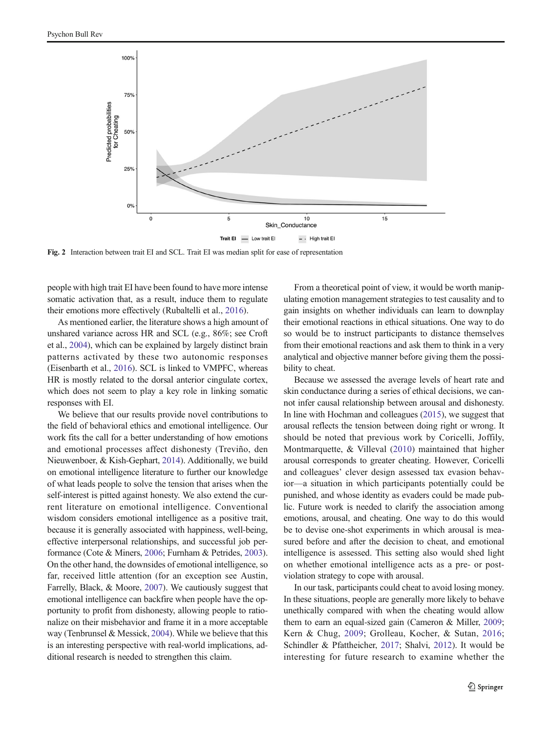<span id="page-4-0"></span>

Fig. 2 Interaction between trait EI and SCL. Trait EI was median split for ease of representation

people with high trait EI have been found to have more intense somatic activation that, as a result, induce them to regulate their emotions more effectively (Rubaltelli et al., [2016\)](#page-6-0).

As mentioned earlier, the literature shows a high amount of unshared variance across HR and SCL (e.g., 86%; see Croft et al., [2004](#page-5-0)), which can be explained by largely distinct brain patterns activated by these two autonomic responses (Eisenbarth et al., [2016](#page-5-0)). SCL is linked to VMPFC, whereas HR is mostly related to the dorsal anterior cingulate cortex, which does not seem to play a key role in linking somatic responses with EI.

We believe that our results provide novel contributions to the field of behavioral ethics and emotional intelligence. Our work fits the call for a better understanding of how emotions and emotional processes affect dishonesty (Treviño, den Nieuwenboer, & Kish-Gephart, [2014\)](#page-6-0). Additionally, we build on emotional intelligence literature to further our knowledge of what leads people to solve the tension that arises when the self-interest is pitted against honesty. We also extend the current literature on emotional intelligence. Conventional wisdom considers emotional intelligence as a positive trait, because it is generally associated with happiness, well-being, effective interpersonal relationships, and successful job performance (Cote & Miners, [2006;](#page-5-0) Furnham & Petrides, [2003\)](#page-5-0). On the other hand, the downsides of emotional intelligence, so far, received little attention (for an exception see Austin, Farrelly, Black, & Moore, [2007\)](#page-5-0). We cautiously suggest that emotional intelligence can backfire when people have the opportunity to profit from dishonesty, allowing people to rationalize on their misbehavior and frame it in a more acceptable way (Tenbrunsel & Messick, [2004\)](#page-6-0). While we believe that this is an interesting perspective with real-world implications, additional research is needed to strengthen this claim.

From a theoretical point of view, it would be worth manipulating emotion management strategies to test causality and to gain insights on whether individuals can learn to downplay their emotional reactions in ethical situations. One way to do so would be to instruct participants to distance themselves from their emotional reactions and ask them to think in a very analytical and objective manner before giving them the possibility to cheat.

Because we assessed the average levels of heart rate and skin conductance during a series of ethical decisions, we cannot infer causal relationship between arousal and dishonesty. In line with Hochman and colleagues ([2015](#page-5-0)), we suggest that arousal reflects the tension between doing right or wrong. It should be noted that previous work by Coricelli, Joffily, Montmarquette, & Villeval [\(2010\)](#page-5-0) maintained that higher arousal corresponds to greater cheating. However, Coricelli and colleagues' clever design assessed tax evasion behavior—a situation in which participants potentially could be punished, and whose identity as evaders could be made public. Future work is needed to clarify the association among emotions, arousal, and cheating. One way to do this would be to devise one-shot experiments in which arousal is measured before and after the decision to cheat, and emotional intelligence is assessed. This setting also would shed light on whether emotional intelligence acts as a pre- or postviolation strategy to cope with arousal.

In our task, participants could cheat to avoid losing money. In these situations, people are generally more likely to behave unethically compared with when the cheating would allow them to earn an equal-sized gain (Cameron & Miller, [2009;](#page-5-0) Kern & Chug, [2009](#page-5-0); Grolleau, Kocher, & Sutan, [2016;](#page-5-0) Schindler & Pfattheicher, [2017;](#page-6-0) Shalvi, [2012\)](#page-6-0). It would be interesting for future research to examine whether the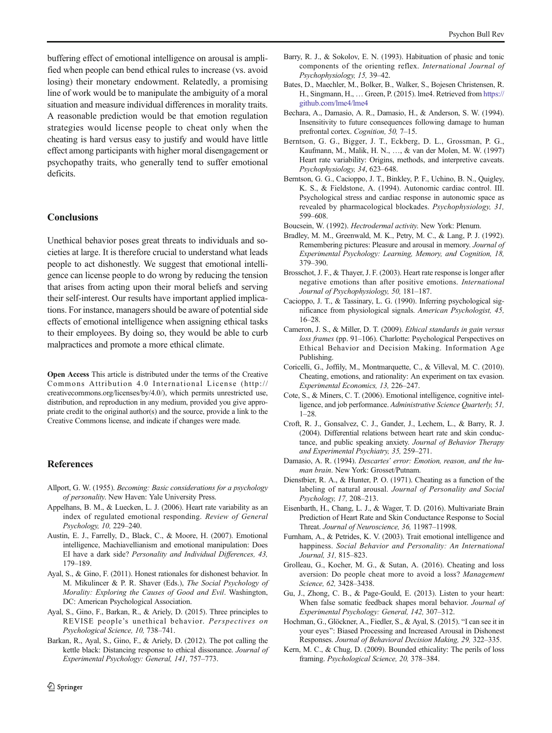<span id="page-5-0"></span>buffering effect of emotional intelligence on arousal is amplified when people can bend ethical rules to increase (vs. avoid losing) their monetary endowment. Relatedly, a promising line of work would be to manipulate the ambiguity of a moral situation and measure individual differences in morality traits. A reasonable prediction would be that emotion regulation strategies would license people to cheat only when the cheating is hard versus easy to justify and would have little effect among participants with higher moral disengagement or psychopathy traits, who generally tend to suffer emotional deficits.

# **Conclusions**

Unethical behavior poses great threats to individuals and societies at large. It is therefore crucial to understand what leads people to act dishonestly. We suggest that emotional intelligence can license people to do wrong by reducing the tension that arises from acting upon their moral beliefs and serving their self-interest. Our results have important applied implications. For instance, managers should be aware of potential side effects of emotional intelligence when assigning ethical tasks to their employees. By doing so, they would be able to curb malpractices and promote a more ethical climate.

Open Access This article is distributed under the terms of the Creative Commons Attribution 4.0 International License (http:// creativecommons.org/licenses/by/4.0/), which permits unrestricted use, distribution, and reproduction in any medium, provided you give appropriate credit to the original author(s) and the source, provide a link to the Creative Commons license, and indicate if changes were made.

## References

- Allport, G. W. (1955). Becoming: Basic considerations for a psychology of personality. New Haven: Yale University Press.
- Appelhans, B. M., & Luecken, L. J. (2006). Heart rate variability as an index of regulated emotional responding. Review of General Psychology, 10, 229–240.
- Austin, E. J., Farrelly, D., Black, C., & Moore, H. (2007). Emotional intelligence, Machiavellianism and emotional manipulation: Does EI have a dark side? Personality and Individual Differences, 43, 179–189.
- Ayal, S., & Gino, F. (2011). Honest rationales for dishonest behavior. In M. Mikulincer & P. R. Shaver (Eds.), The Social Psychology of Morality: Exploring the Causes of Good and Evil. Washington, DC: American Psychological Association.
- Ayal, S., Gino, F., Barkan, R., & Ariely, D. (2015). Three principles to REVISE people's unethical behavior. Perspectives on Psychological Science, 10, 738–741.
- Barkan, R., Ayal, S., Gino, F., & Ariely, D. (2012). The pot calling the kettle black: Distancing response to ethical dissonance. Journal of Experimental Psychology: General, 141, 757–773.
- $\hat{Z}$  Springer
- Barry, R. J., & Sokolov, E. N. (1993). Habituation of phasic and tonic components of the orienting reflex. International Journal of Psychophysiology, 15, 39–42.
- Bates, D., Maechler, M., Bolker, B., Walker, S., Bojesen Christensen, R. H., Singmann, H., … Green, P. (2015). lme4. Retrieved from [https://](http://dx.doi.org/https://github.com/lme4/lme4) [github.com/lme4/lme4](http://dx.doi.org/https://github.com/lme4/lme4)
- Bechara, A., Damasio, A. R., Damasio, H., & Anderson, S. W. (1994). Insensitivity to future consequences following damage to human prefrontal cortex. Cognition, 50, 7–15.
- Berntson, G. G., Bigger, J. T., Eckberg, D. L., Grossman, P. G., Kaufmann, M., Malik, H. N., …, & van der Molen, M. W. (1997) Heart rate variability: Origins, methods, and interpretive caveats. Psychophysiology, 34, 623–648.
- Berntson, G. G., Cacioppo, J. T., Binkley, P. F., Uchino, B. N., Quigley, K. S., & Fieldstone, A. (1994). Autonomic cardiac control. III. Psychological stress and cardiac response in autonomic space as revealed by pharmacological blockades. Psychophysiology, 31, 599–608.

Boucsein, W. (1992). Hectrodermal activity. New York: Plenum.

- Bradley, M. M., Greenwald, M. K., Petry, M. C., & Lang, P. J. (1992). Remembering pictures: Pleasure and arousal in memory. Journal of Experimental Psychology: Learning, Memory, and Cognition, 18, 379–390.
- Brosschot, J. F., & Thayer, J. F. (2003). Heart rate response is longer after negative emotions than after positive emotions. International Journal of Psychophysiology, 50, 181–187.
- Cacioppo, J. T., & Tassinary, L. G. (1990). Inferring psychological significance from physiological signals. American Psychologist, 45, 16–28.
- Cameron, J. S., & Miller, D. T. (2009). Ethical standards in gain versus loss frames (pp. 91–106). Charlotte: Psychological Perspectives on Ethical Behavior and Decision Making. Information Age Publishing.
- Coricelli, G., Joffily, M., Montmarquette, C., & Villeval, M. C. (2010). Cheating, emotions, and rationality: An experiment on tax evasion. Experimental Economics, 13, 226–247.
- Cote, S., & Miners, C. T. (2006). Emotional intelligence, cognitive intelligence, and job performance. Administrative Science Quarterly, 51, 1–28.
- Croft, R. J., Gonsalvez, C. J., Gander, J., Lechem, L., & Barry, R. J. (2004). Differential relations between heart rate and skin conductance, and public speaking anxiety. Journal of Behavior Therapy and Experimental Psychiatry, 35, 259–271.
- Damasio, A. R. (1994). Descartes' error: Emotion, reason, and the human brain. New York: Grosset/Putnam.
- Dienstbier, R. A., & Hunter, P. O. (1971). Cheating as a function of the labeling of natural arousal. Journal of Personality and Social Psychology, 17, 208–213.
- Eisenbarth, H., Chang, L. J., & Wager, T. D. (2016). Multivariate Brain Prediction of Heart Rate and Skin Conductance Response to Social Threat. Journal of Neuroscience, 36, 11987–11998.
- Furnham, A., & Petrides, K. V. (2003). Trait emotional intelligence and happiness. Social Behavior and Personality: An International Journal, 31, 815–823.
- Grolleau, G., Kocher, M. G., & Sutan, A. (2016). Cheating and loss aversion: Do people cheat more to avoid a loss? Management Science, 62, 3428–3438.
- Gu, J., Zhong, C. B., & Page-Gould, E. (2013). Listen to your heart: When false somatic feedback shapes moral behavior. Journal of Experimental Psychology: General, 142, 307–312.
- Hochman, G., Glöckner, A., Fiedler, S., & Ayal, S. (2015). "I can see it in your eyes": Biased Processing and Increased Arousal in Dishonest Responses. Journal of Behavioral Decision Making, 29, 322–335.
- Kern, M. C., & Chug, D. (2009). Bounded ethicality: The perils of loss framing. Psychological Science, 20, 378–384.